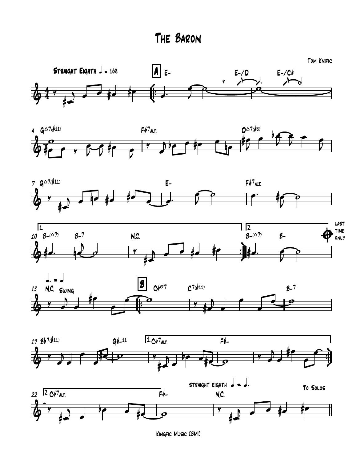The Baron















Kingfic Music [BMI]